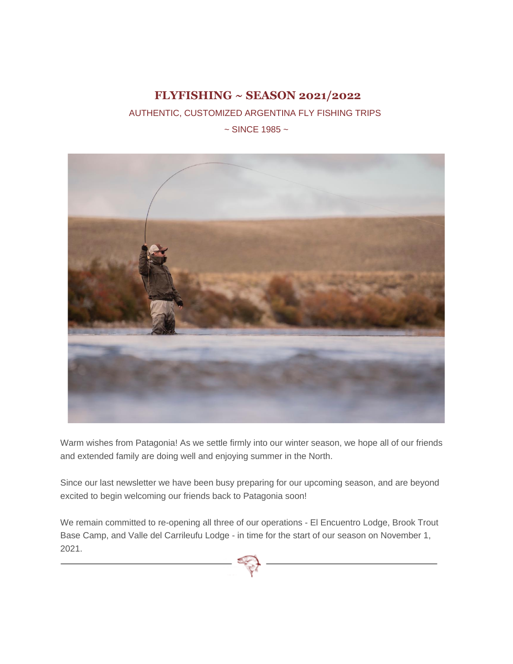# **FLYFISHING ~ SEASON 2021/2022**

AUTHENTIC, CUSTOMIZED ARGENTINA FLY FISHING TRIPS

 $\sim$  SINCE 1985  $\sim$ 



Warm wishes from Patagonia! As we settle firmly into our winter season, we hope all of our friends and extended family are doing well and enjoying summer in the North.

Since our last newsletter we have been busy preparing for our upcoming season, and are beyond excited to begin welcoming our friends back to Patagonia soon!

We remain committed to re-opening all three of our operations - El Encuentro Lodge, Brook Trout Base Camp, and Valle del Carrileufu Lodge - in time for the start of our season on November 1, 2021.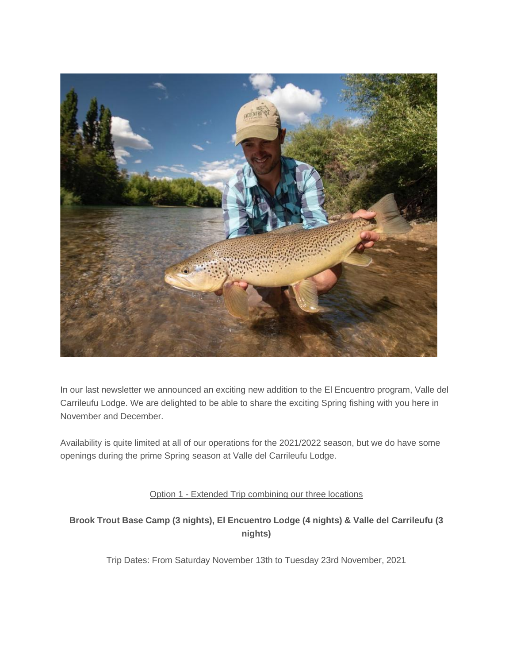

In our last newsletter we announced an exciting new addition to the El Encuentro program, Valle del Carrileufu Lodge. We are delighted to be able to share the exciting Spring fishing with you here in November and December.

Availability is quite limited at all of our operations for the 2021/2022 season, but we do have some openings during the prime Spring season at Valle del Carrileufu Lodge.

## Option 1 - Extended Trip combining our three locations

## **Brook Trout Base Camp (3 nights), El Encuentro Lodge (4 nights) & Valle del Carrileufu (3 nights)**

Trip Dates: From Saturday November 13th to Tuesday 23rd November, 2021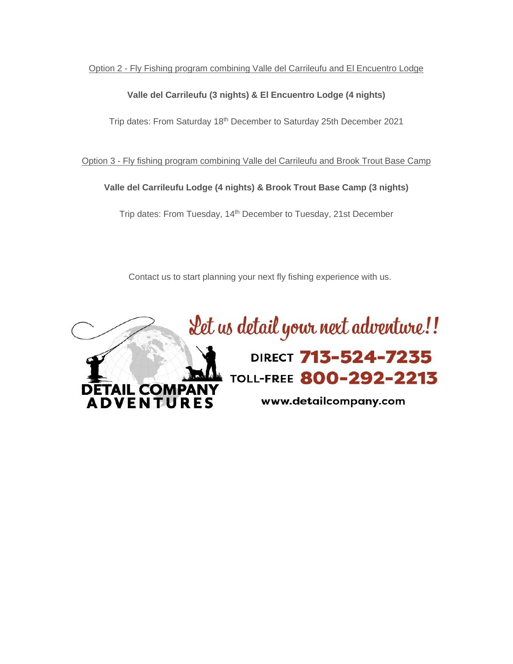Option 2 - Fly Fishing program combining Valle del Carrileufu and El Encuentro Lodge

#### **Valle del Carrileufu (3 nights) & El Encuentro Lodge (4 nights)**

Trip dates: From Saturday 18th December to Saturday 25th December 2021

Option 3 - Fly fishing program combining Valle del Carrileufu and Brook Trout Base Camp

## **Valle del Carrileufu Lodge (4 nights) & Brook Trout Base Camp (3 nights)**

Trip dates: From Tuesday, 14th December to Tuesday, 21st December

Contact us to start planning your next fly fishing experience with us.

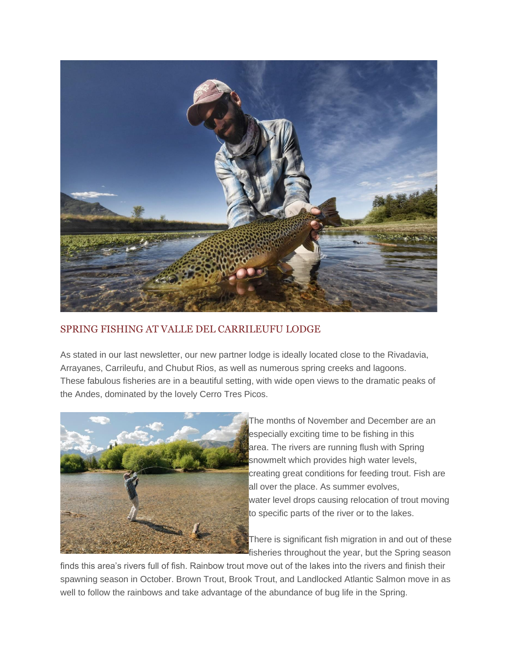

# SPRING FISHING AT VALLE DEL CARRILEUFU LODGE

As stated in our last newsletter, our new partner lodge is ideally located close to the Rivadavia, Arrayanes, Carrileufu, and Chubut Rios, as well as numerous spring creeks and lagoons. These fabulous fisheries are in a beautiful setting, with wide open views to the dramatic peaks of the Andes, dominated by the lovely Cerro Tres Picos.



The months of November and December are an especially exciting time to be fishing in this area. The rivers are running flush with Spring snowmelt which provides high water levels, creating great conditions for feeding trout. Fish are all over the place. As summer evolves, water level drops causing relocation of trout moving to specific parts of the river or to the lakes.

There is significant fish migration in and out of these **F** fisheries throughout the year, but the Spring season

finds this area's rivers full of fish. Rainbow trout move out of the lakes into the rivers and finish their spawning season in October. Brown Trout, Brook Trout, and Landlocked Atlantic Salmon move in as well to follow the rainbows and take advantage of the abundance of bug life in the Spring.